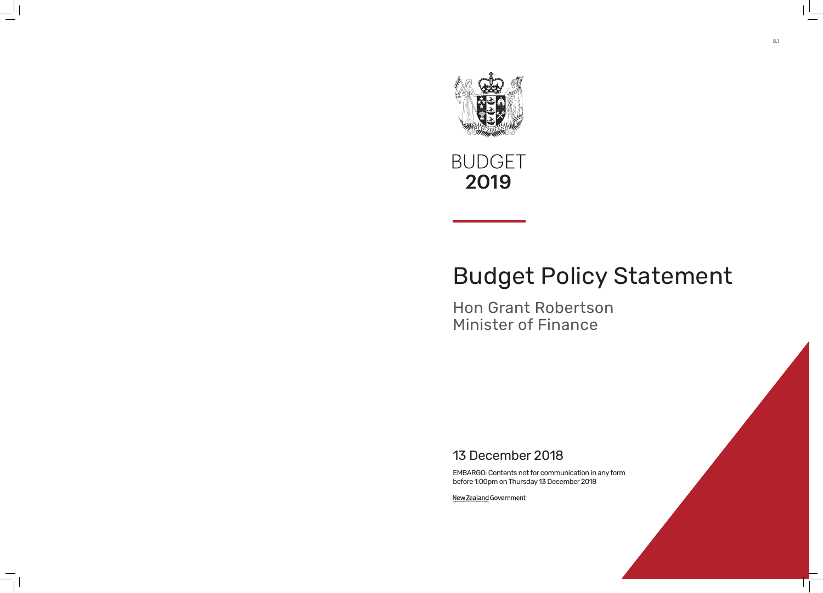



# Budget Policy Statement

# Hon Grant Robertson Minister of Finance

# 13 December 2018

EMBARGO: Contents not for communication in any form before 1:00pm on Thursday 13 December 2018

New Zealand Government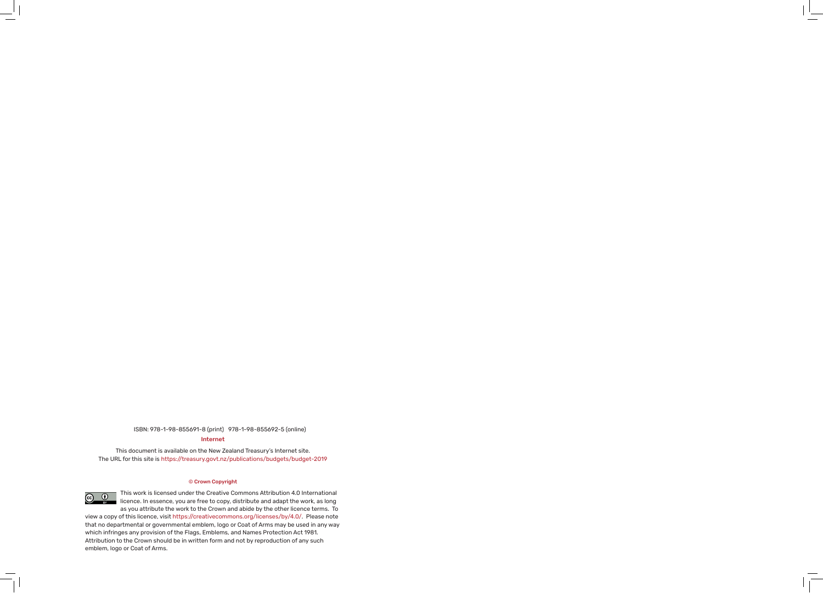### Internet ISBN: 978-1-98-855691-8 (print) 978-1-98-855692-5 (online)

This document is available on the New Zealand Treasury's Internet site. The URL for this site is https://treasury.govt.nz/publications/budgets/budget-2019

#### © Crown Copyright



This work is licensed under the Creative Commons Attribution 4.0 International licence. In essence, you are free to copy, distribute and adapt the work, as long as you attribute the work to the Crown and abide by the other licence terms. To

view a copy of this licence, visit https://creativecommons.org/licenses/by/4.0/. Please note that no departmental or governmental emblem, logo or Coat of Arms may be used in any way which infringes any provision of the Flags, Emblems, and Names Protection Act 1981. Attribution to the Crown should be in written form and not by reproduction of any such emblem, logo or Coat of Arms.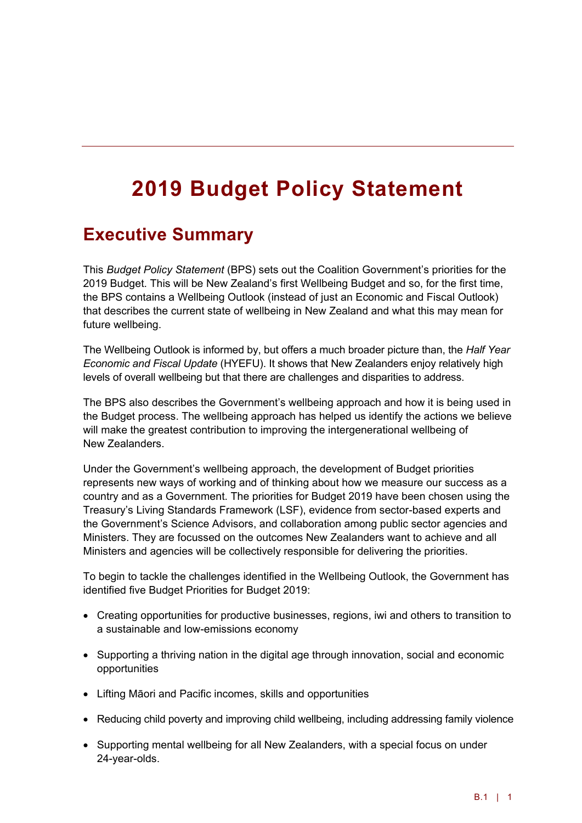# **2019 Budget Policy Statement**

## **Executive Summary**

This *Budget Policy Statement* (BPS) sets out the Coalition Government's priorities for the 2019 Budget. This will be New Zealand's first Wellbeing Budget and so, for the first time, the BPS contains a Wellbeing Outlook (instead of just an Economic and Fiscal Outlook) that describes the current state of wellbeing in New Zealand and what this may mean for future wellbeing.

The Wellbeing Outlook is informed by, but offers a much broader picture than, the *Half Year Economic and Fiscal Update* (HYEFU). It shows that New Zealanders enjoy relatively high levels of overall wellbeing but that there are challenges and disparities to address.

The BPS also describes the Government's wellbeing approach and how it is being used in the Budget process. The wellbeing approach has helped us identify the actions we believe will make the greatest contribution to improving the intergenerational wellbeing of New Zealanders.

Under the Government's wellbeing approach, the development of Budget priorities represents new ways of working and of thinking about how we measure our success as a country and as a Government. The priorities for Budget 2019 have been chosen using the Treasury's Living Standards Framework (LSF), evidence from sector-based experts and the Government's Science Advisors, and collaboration among public sector agencies and Ministers. They are focussed on the outcomes New Zealanders want to achieve and all Ministers and agencies will be collectively responsible for delivering the priorities.

To begin to tackle the challenges identified in the Wellbeing Outlook, the Government has identified five Budget Priorities for Budget 2019:

- Creating opportunities for productive businesses, regions, iwi and others to transition to a sustainable and low-emissions economy
- Supporting a thriving nation in the digital age through innovation, social and economic opportunities
- Lifting Māori and Pacific incomes, skills and opportunities
- Reducing child poverty and improving child wellbeing, including addressing family violence
- Supporting mental wellbeing for all New Zealanders, with a special focus on under 24-year-olds.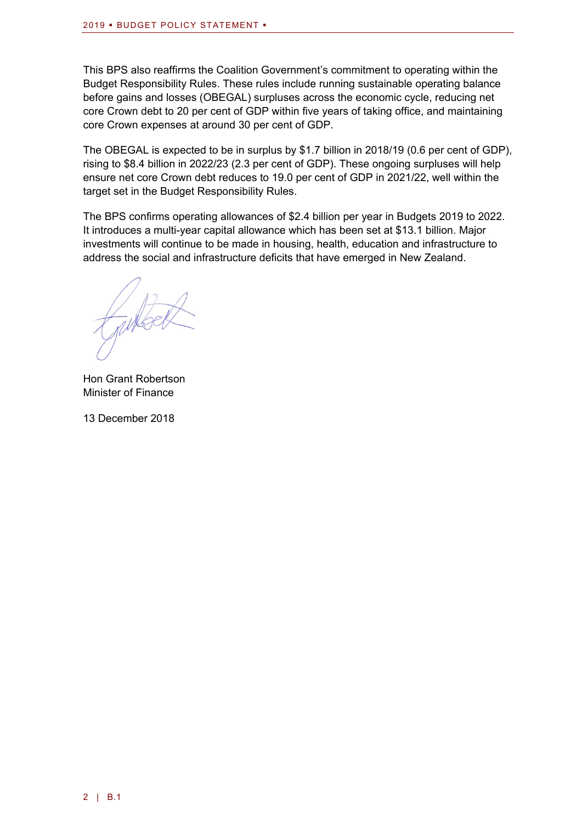This BPS also reaffirms the Coalition Government's commitment to operating within the Budget Responsibility Rules. These rules include running sustainable operating balance before gains and losses (OBEGAL) surpluses across the economic cycle, reducing net core Crown debt to 20 per cent of GDP within five years of taking office, and maintaining core Crown expenses at around 30 per cent of GDP.

The OBEGAL is expected to be in surplus by \$1.7 billion in 2018/19 (0.6 per cent of GDP), rising to \$8.4 billion in 2022/23 (2.3 per cent of GDP). These ongoing surpluses will help ensure net core Crown debt reduces to 19.0 per cent of GDP in 2021/22, well within the target set in the Budget Responsibility Rules.

The BPS confirms operating allowances of \$2.4 billion per year in Budgets 2019 to 2022. It introduces a multi-year capital allowance which has been set at \$13.1 billion. Major investments will continue to be made in housing, health, education and infrastructure to address the social and infrastructure deficits that have emerged in New Zealand.

Hon Grant Robertson Minister of Finance

13 December 2018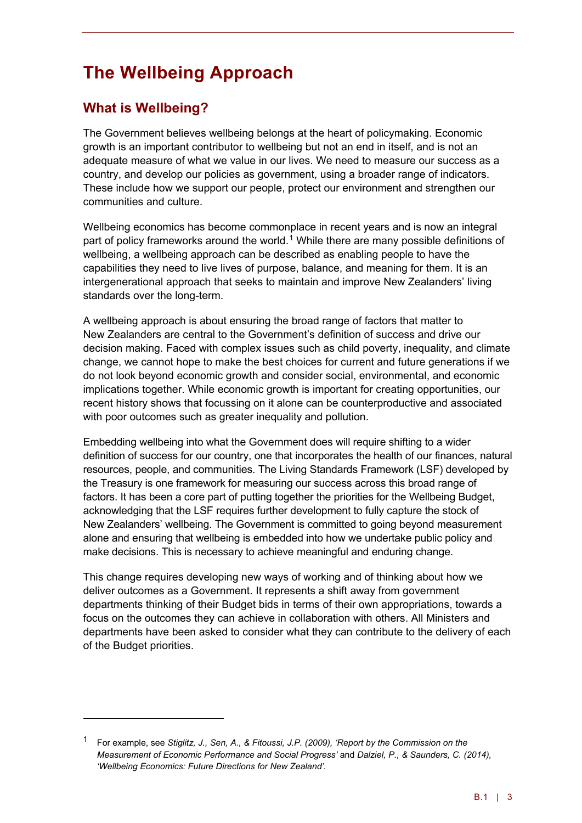# **The Wellbeing Approach**

### **What is Wellbeing?**

<u>.</u>

The Government believes wellbeing belongs at the heart of policymaking. Economic growth is an important contributor to wellbeing but not an end in itself, and is not an adequate measure of what we value in our lives. We need to measure our success as a country, and develop our policies as government, using a broader range of indicators. These include how we support our people, protect our environment and strengthen our communities and culture.

Wellbeing economics has become commonplace in recent years and is now an integral part of policy frameworks around the world.<sup>[1](#page-4-0)</sup> While there are many possible definitions of wellbeing, a wellbeing approach can be described as enabling people to have the capabilities they need to live lives of purpose, balance, and meaning for them. It is an intergenerational approach that seeks to maintain and improve New Zealanders' living standards over the long-term.

A wellbeing approach is about ensuring the broad range of factors that matter to New Zealanders are central to the Government's definition of success and drive our decision making. Faced with complex issues such as child poverty, inequality, and climate change, we cannot hope to make the best choices for current and future generations if we do not look beyond economic growth and consider social, environmental, and economic implications together. While economic growth is important for creating opportunities, our recent history shows that focussing on it alone can be counterproductive and associated with poor outcomes such as greater inequality and pollution.

Embedding wellbeing into what the Government does will require shifting to a wider definition of success for our country, one that incorporates the health of our finances, natural resources, people, and communities. The Living Standards Framework (LSF) developed by the Treasury is one framework for measuring our success across this broad range of factors. It has been a core part of putting together the priorities for the Wellbeing Budget, acknowledging that the LSF requires further development to fully capture the stock of New Zealanders' wellbeing. The Government is committed to going beyond measurement alone and ensuring that wellbeing is embedded into how we undertake public policy and make decisions. This is necessary to achieve meaningful and enduring change.

This change requires developing new ways of working and of thinking about how we deliver outcomes as a Government. It represents a shift away from government departments thinking of their Budget bids in terms of their own appropriations, towards a focus on the outcomes they can achieve in collaboration with others. All Ministers and departments have been asked to consider what they can contribute to the delivery of each of the Budget priorities.

<span id="page-4-0"></span><sup>1</sup> For example, see *Stiglitz, J., Sen, A., & Fitoussi, J.P. (2009), 'Report by the Commission on the Measurement of Economic Performance and Social Progress'* and *Dalziel, P., & Saunders, C. (2014), 'Wellbeing Economics: Future Directions for New Zealand'.*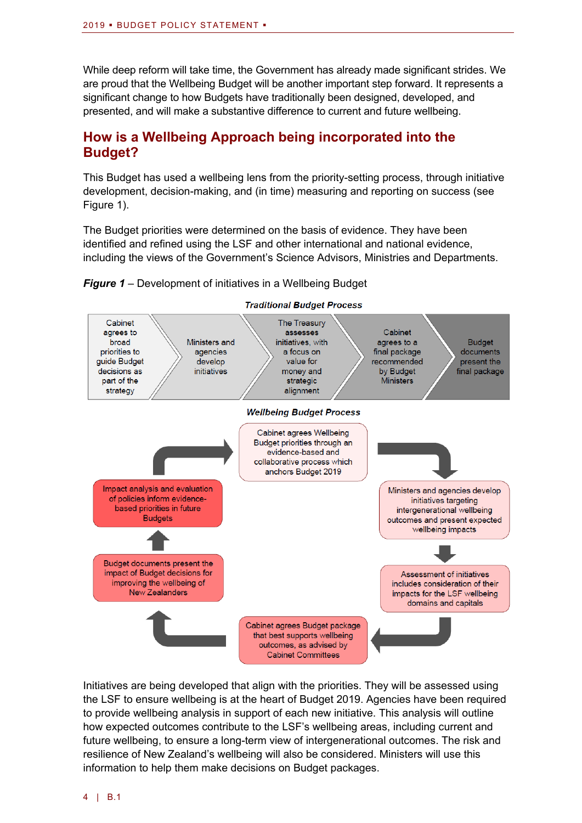While deep reform will take time, the Government has already made significant strides. We are proud that the Wellbeing Budget will be another important step forward. It represents a significant change to how Budgets have traditionally been designed, developed, and presented, and will make a substantive difference to current and future wellbeing.

### **How is a Wellbeing Approach being incorporated into the Budget?**

This Budget has used a wellbeing lens from the priority-setting process, through initiative development, decision-making, and (in time) measuring and reporting on success (see Figure 1).

The Budget priorities were determined on the basis of evidence. They have been identified and refined using the LSF and other international and national evidence, including the views of the Government's Science Advisors, Ministries and Departments.



*Figure 1* – Development of initiatives in a Wellbeing Budget

Initiatives are being developed that align with the priorities. They will be assessed using the LSF to ensure wellbeing is at the heart of Budget 2019. Agencies have been required to provide wellbeing analysis in support of each new initiative. This analysis will outline how expected outcomes contribute to the LSF's wellbeing areas, including current and future wellbeing, to ensure a long-term view of intergenerational outcomes. The risk and resilience of New Zealand's wellbeing will also be considered. Ministers will use this information to help them make decisions on Budget packages.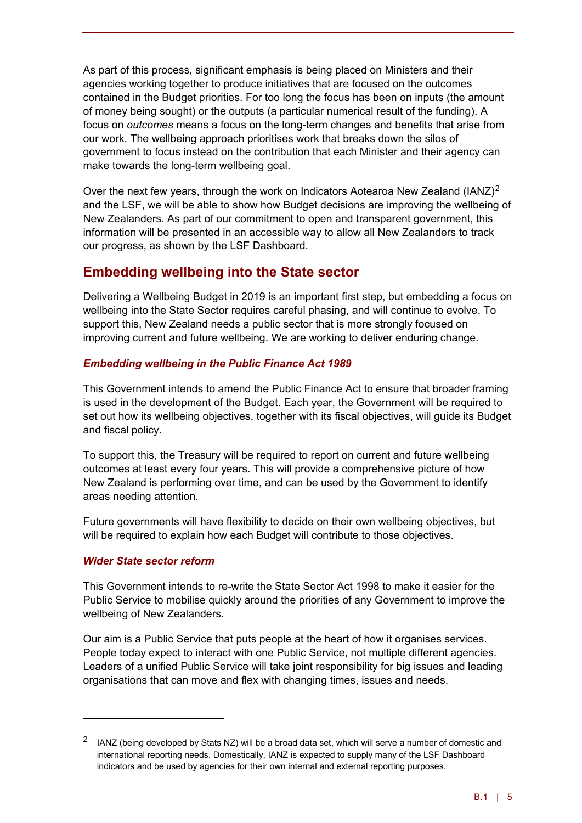As part of this process, significant emphasis is being placed on Ministers and their agencies working together to produce initiatives that are focused on the outcomes contained in the Budget priorities. For too long the focus has been on inputs (the amount of money being sought) or the outputs (a particular numerical result of the funding). A focus on *outcomes* means a focus on the long-term changes and benefits that arise from our work. The wellbeing approach prioritises work that breaks down the silos of government to focus instead on the contribution that each Minister and their agency can make towards the long-term wellbeing goal.

Over the next few years, through the work on Indicators Aotearoa New Zealand (IANZ)<sup>[2](#page-6-0)</sup> and the LSF, we will be able to show how Budget decisions are improving the wellbeing of New Zealanders. As part of our commitment to open and transparent government, this information will be presented in an accessible way to allow all New Zealanders to track our progress, as shown by the LSF Dashboard.

### **Embedding wellbeing into the State sector**

Delivering a Wellbeing Budget in 2019 is an important first step, but embedding a focus on wellbeing into the State Sector requires careful phasing, and will continue to evolve. To support this, New Zealand needs a public sector that is more strongly focused on improving current and future wellbeing. We are working to deliver enduring change.

### *Embedding wellbeing in the Public Finance Act 1989*

This Government intends to amend the Public Finance Act to ensure that broader framing is used in the development of the Budget. Each year, the Government will be required to set out how its wellbeing objectives, together with its fiscal objectives, will guide its Budget and fiscal policy.

To support this, the Treasury will be required to report on current and future wellbeing outcomes at least every four years. This will provide a comprehensive picture of how New Zealand is performing over time, and can be used by the Government to identify areas needing attention.

Future governments will have flexibility to decide on their own wellbeing objectives, but will be required to explain how each Budget will contribute to those objectives.

### *Wider State sector reform*

<u>.</u>

This Government intends to re-write the State Sector Act 1998 to make it easier for the Public Service to mobilise quickly around the priorities of any Government to improve the wellbeing of New Zealanders.

Our aim is a Public Service that puts people at the heart of how it organises services. People today expect to interact with one Public Service, not multiple different agencies. Leaders of a unified Public Service will take joint responsibility for big issues and leading organisations that can move and flex with changing times, issues and needs.

<span id="page-6-0"></span><sup>&</sup>lt;sup>2</sup> IANZ (being developed by Stats NZ) will be a broad data set, which will serve a number of domestic and international reporting needs. Domestically, IANZ is expected to supply many of the LSF Dashboard indicators and be used by agencies for their own internal and external reporting purposes.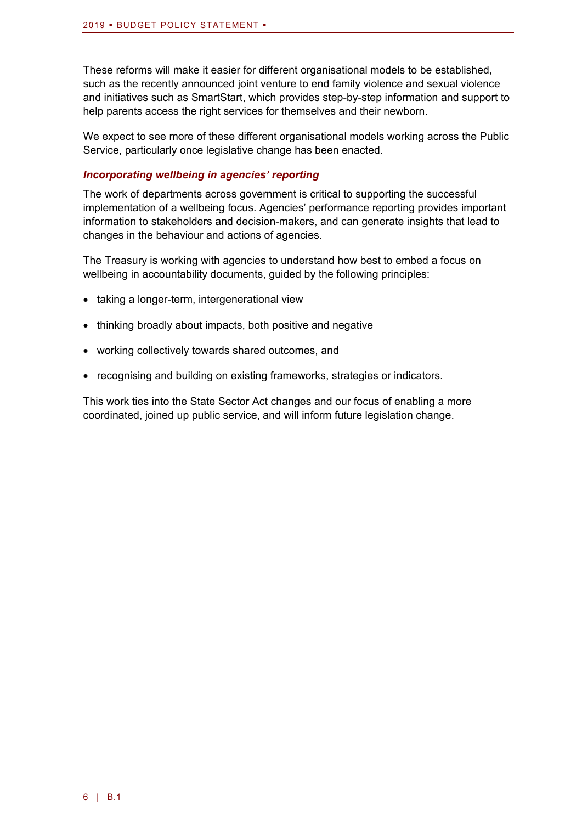These reforms will make it easier for different organisational models to be established, such as the recently announced joint venture to end family violence and sexual violence and initiatives such as SmartStart, which provides step-by-step information and support to help parents access the right services for themselves and their newborn.

We expect to see more of these different organisational models working across the Public Service, particularly once legislative change has been enacted.

### *Incorporating wellbeing in agencies' reporting*

The work of departments across government is critical to supporting the successful implementation of a wellbeing focus. Agencies' performance reporting provides important information to stakeholders and decision-makers, and can generate insights that lead to changes in the behaviour and actions of agencies.

The Treasury is working with agencies to understand how best to embed a focus on wellbeing in accountability documents, quided by the following principles:

- taking a longer-term, intergenerational view
- thinking broadly about impacts, both positive and negative
- working collectively towards shared outcomes, and
- recognising and building on existing frameworks, strategies or indicators.

This work ties into the State Sector Act changes and our focus of enabling a more coordinated, joined up public service, and will inform future legislation change.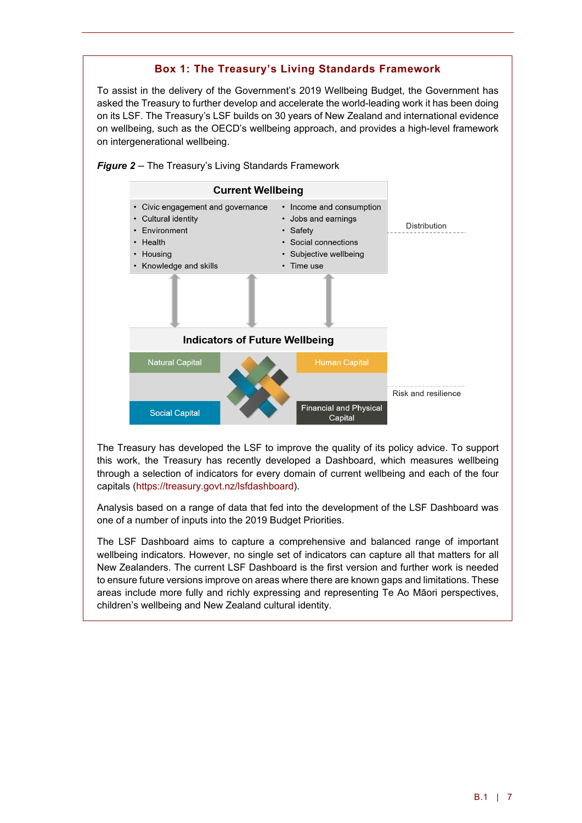### **Box 1: The Treasury's Living Standards Framework**

To assist in the delivery of the Government's 2019 Wellbeing Budget, the Government has asked the Treasury to further develop and accelerate the world-leading work it has been doing on its LSF. The Treasury's LSF builds on 30 years of New Zealand and international evidence on wellbeing, such as the OECD's wellbeing approach, and provides a high-level framework on intergenerational wellbeing.



*Figure 2* – The Treasury's Living Standards Framework

The Treasury has developed the LSF to improve the quality of its policy advice. To support this work, the Treasury has recently developed a Dashboard, which measures wellbeing through a selection of indicators for every domain of current wellbeing and each of the four capitals [\(https://treasury.govt.nz/lsfdashboard\)](https://treasury.govt.nz/lsfdashboard).

Analysis based on a range of data that fed into the development of the LSF Dashboard was one of a number of inputs into the 2019 Budget Priorities.

The LSF Dashboard aims to capture a comprehensive and balanced range of important wellbeing indicators. However, no single set of indicators can capture all that matters for all New Zealanders. The current LSF Dashboard is the first version and further work is needed to ensure future versions improve on areas where there are known gaps and limitations. These areas include more fully and richly expressing and representing Te Ao Māori perspectives, children's wellbeing and New Zealand cultural identity.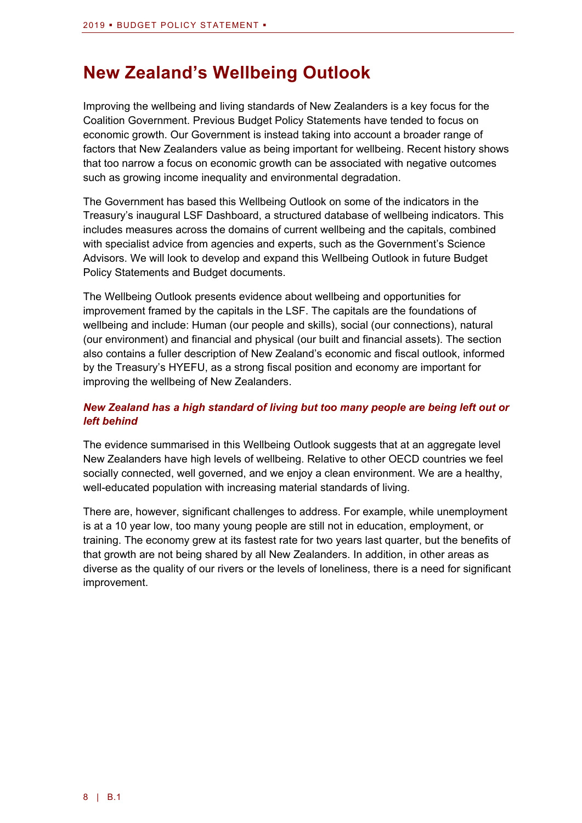# **New Zealand's Wellbeing Outlook**

Improving the wellbeing and living standards of New Zealanders is a key focus for the Coalition Government. Previous Budget Policy Statements have tended to focus on economic growth. Our Government is instead taking into account a broader range of factors that New Zealanders value as being important for wellbeing. Recent history shows that too narrow a focus on economic growth can be associated with negative outcomes such as growing income inequality and environmental degradation.

The Government has based this Wellbeing Outlook on some of the indicators in the Treasury's inaugural LSF Dashboard, a structured database of wellbeing indicators. This includes measures across the domains of current wellbeing and the capitals, combined with specialist advice from agencies and experts, such as the Government's Science Advisors. We will look to develop and expand this Wellbeing Outlook in future Budget Policy Statements and Budget documents.

The Wellbeing Outlook presents evidence about wellbeing and opportunities for improvement framed by the capitals in the LSF. The capitals are the foundations of wellbeing and include: Human (our people and skills), social (our connections), natural (our environment) and financial and physical (our built and financial assets). The section also contains a fuller description of New Zealand's economic and fiscal outlook, informed by the Treasury's HYEFU, as a strong fiscal position and economy are important for improving the wellbeing of New Zealanders.

### *New Zealand has a high standard of living but too many people are being left out or left behind*

The evidence summarised in this Wellbeing Outlook suggests that at an aggregate level New Zealanders have high levels of wellbeing. Relative to other OECD countries we feel socially connected, well governed, and we enjoy a clean environment. We are a healthy, well-educated population with increasing material standards of living.

There are, however, significant challenges to address. For example, while unemployment is at a 10 year low, too many young people are still not in education, employment, or training. The economy grew at its fastest rate for two years last quarter, but the benefits of that growth are not being shared by all New Zealanders. In addition, in other areas as diverse as the quality of our rivers or the levels of loneliness, there is a need for significant improvement.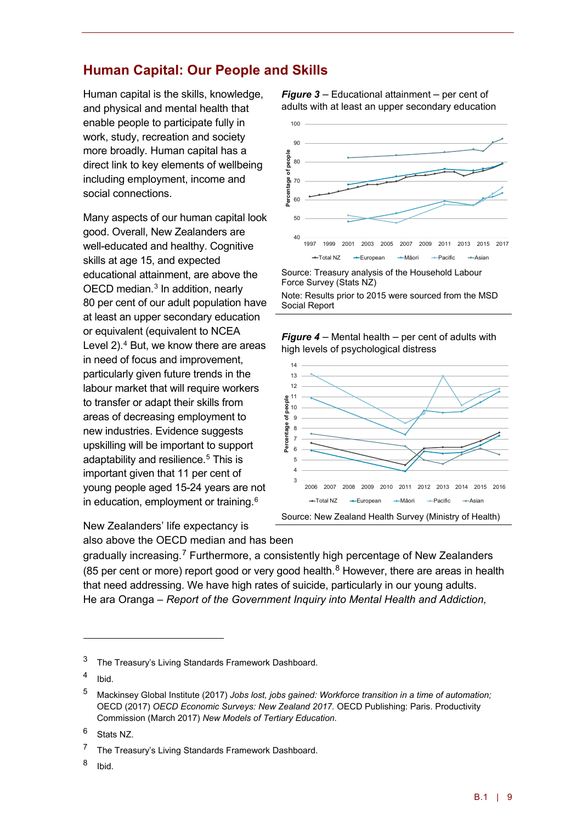### **Human Capital: Our People and Skills**

Human capital is the skills, knowledge, and physical and mental health that enable people to participate fully in work, study, recreation and society more broadly. Human capital has a direct link to key elements of wellbeing including employment, income and social connections.

Many aspects of our human capital look good. Overall, New Zealanders are well-educated and healthy. Cognitive skills at age 15, and expected educational attainment, are above the OECD median.<sup>[3](#page-10-0)</sup> In addition, nearly 80 per cent of our adult population have at least an upper secondary education or equivalent (equivalent to NCEA Level 2). [4](#page-10-1) But, we know there are areas in need of focus and improvement, particularly given future trends in the labour market that will require workers to transfer or adapt their skills from areas of decreasing employment to new industries. Evidence suggests upskilling will be important to support adaptability and resilience.<sup>[5](#page-10-2)</sup> This is important given that 11 per cent of young people aged 15-24 years are not in education, employment or training. $6$ 

New Zealanders' life expectancy is also above the OECD median and has been

*Figure 3* – Educational attainment – per cent of adults with at least an upper secondary education



Note: Results prior to 2015 were sourced from the MSD Social Report





gradually increasing.<sup>[7](#page-10-4)</sup> Furthermore, a consistently high percentage of New Zealanders ([8](#page-10-5)5 per cent or more) report good or very good health.<sup>8</sup> However, there are areas in health that need addressing. We have high rates of suicide, particularly in our young adults. He ara Oranga – *Report of the Government Inquiry into Mental Health and Addiction,*

<u>.</u>

<span id="page-10-5"></span><sup>8</sup> Ibid.

<span id="page-10-0"></span><sup>&</sup>lt;sup>3</sup> The Treasury's Living Standards Framework Dashboard.

<span id="page-10-1"></span><sup>4</sup> Ibid.

<span id="page-10-2"></span><sup>5</sup> Mackinsey Global Institute (2017) *Jobs lost, jobs gained: Workforce transition in a time of automation;*  OECD (2017) *OECD Economic Surveys: New Zealand 2017.* OECD Publishing: Paris. Productivity Commission (March 2017) *New Models of Tertiary Education.*

<span id="page-10-3"></span><sup>6</sup> Stats NZ.

<span id="page-10-4"></span><sup>7</sup> The Treasury's Living Standards Framework Dashboard.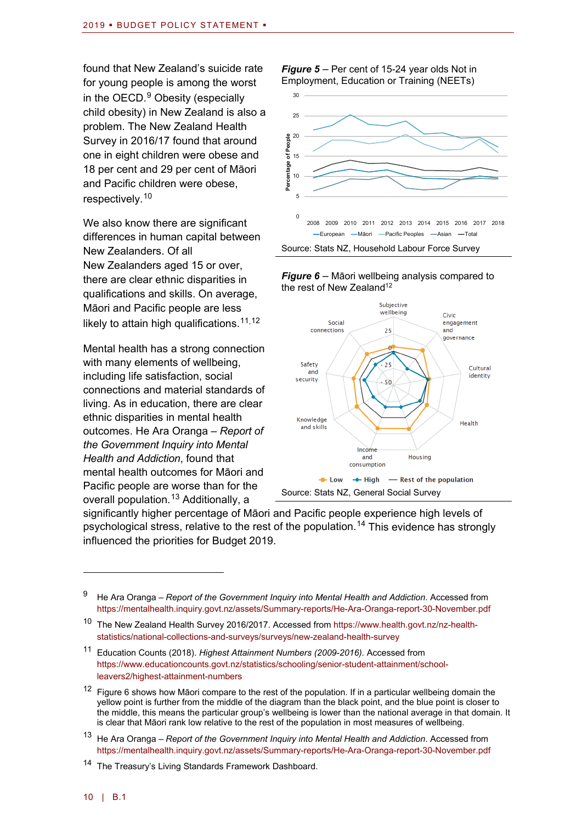found that New Zealand's suicide rate for young people is among the worst in the  $OECD.<sup>9</sup>$  $OECD.<sup>9</sup>$  $OECD.<sup>9</sup>$  Obesity (especially child obesity) in New Zealand is also a problem. The New Zealand Health Survey in 2016/17 found that around one in eight children were obese and 18 per cent and 29 per cent of Māori and Pacific children were obese, respectively.<sup>[10](#page-11-1)</sup>

We also know there are significant differences in human capital between New Zealanders. Of all New Zealanders aged 15 or over, there are clear ethnic disparities in qualifications and skills. On average, Māori and Pacific people are less likely to attain high qualifications. [11,](#page-11-2)[12](#page-11-3)

Mental health has a strong connection with many elements of wellbeing, including life satisfaction, social connections and material standards of living. As in education, there are clear ethnic disparities in mental health outcomes. He Ara Oranga – *Report of the Government Inquiry into Mental Health and Addiction*, found that mental health outcomes for Māori and Pacific people are worse than for the overall population. [13](#page-11-4) Additionally, a

#### *Figure 5* – Per cent of 15-24 year olds Not in Employment, Education or Training (NEETs)







significantly higher percentage of Māori and Pacific people experience high levels of psychological stress, relative to the rest of the population.<sup>[14](#page-11-5)</sup> This evidence has strongly influenced the priorities for Budget 2019.

<span id="page-11-0"></span><sup>9</sup> He Ara Oranga – *Report of the Government Inquiry into Mental Health and Addiction*. Accessed from <https://mentalhealth.inquiry.govt.nz/assets/Summary-reports/He-Ara-Oranga-report-30-November.pdf>

<span id="page-11-1"></span><sup>10</sup> The New Zealand Health Survey 2016/2017. Accessed from [https://www.health.govt.nz/nz-health](https://www.health.govt.nz/nz-health-statistics/national-collections-and-surveys/surveys/new-zealand-health-survey)[statistics/national-collections-and-surveys/surveys/new-zealand-health-survey](https://www.health.govt.nz/nz-health-statistics/national-collections-and-surveys/surveys/new-zealand-health-survey)

<span id="page-11-2"></span><sup>11</sup> Education Counts (2018). *Highest Attainment Numbers (2009-2016).* Accessed from [https://www.educationcounts.govt.nz/statistics/schooling/senior-student-attainment/school](https://www.educationcounts.govt.nz/statistics/schooling/senior-student-attainment/school-leavers2/highest-attainment-numbers)[leavers2/highest-attainment-numbers](https://www.educationcounts.govt.nz/statistics/schooling/senior-student-attainment/school-leavers2/highest-attainment-numbers)

<span id="page-11-3"></span><sup>&</sup>lt;sup>12</sup> Figure 6 shows how Māori compare to the rest of the population. If in a particular wellbeing domain the yellow point is further from the middle of the diagram than the black point, and the blue point is closer to the middle, this means the particular group's wellbeing is lower than the national average in that domain. It is clear that Māori rank low relative to the rest of the population in most measures of wellbeing.

<span id="page-11-4"></span><sup>13</sup> He Ara Oranga – *Report of the Government Inquiry into Mental Health and Addiction*. Accessed from <https://mentalhealth.inquiry.govt.nz/assets/Summary-reports/He-Ara-Oranga-report-30-November.pdf>

<span id="page-11-5"></span><sup>&</sup>lt;sup>14</sup> The Treasury's Living Standards Framework Dashboard.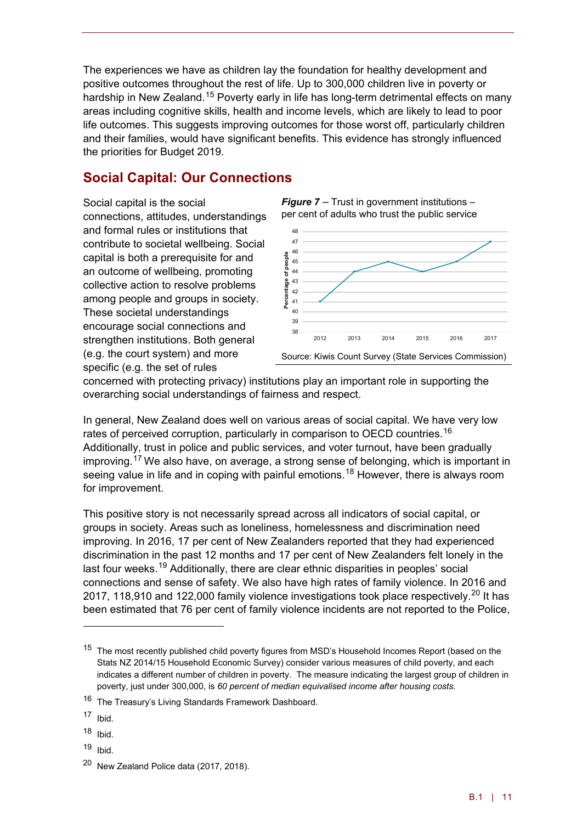The experiences we have as children lay the foundation for healthy development and positive outcomes throughout the rest of life. Up to 300,000 children live in poverty or hardship in New Zealand.<sup>[15](#page-12-0)</sup> Poverty early in life has long-term detrimental effects on many areas including cognitive skills, health and income levels, which are likely to lead to poor life outcomes. This suggests improving outcomes for those worst off, particularly children and their families, would have significant benefits. This evidence has strongly influenced the priorities for Budget 2019.

### **Social Capital: Our Connections**

Social capital is the social connections, attitudes, understandings and formal rules or institutions that contribute to societal wellbeing. Social capital is both a prerequisite for and an outcome of wellbeing, promoting collective action to resolve problems among people and groups in society. These societal understandings encourage social connections and strengthen institutions. Both general (e.g. the court system) and more specific (e.g. the set of rules

*Figure 7* – Trust in government institutions – per cent of adults who trust the public service



concerned with protecting privacy) institutions play an important role in supporting the overarching social understandings of fairness and respect.

In general, New Zealand does well on various areas of social capital. We have very low rates of perceived corruption, particularly in comparison to OECD countries.<sup>[16](#page-12-1)</sup> Additionally, trust in police and public services, and voter turnout, have been gradually improving.[17](#page-12-2) We also have, on average, a strong sense of belonging, which is important in seeing value in life and in coping with painful emotions.<sup>[18](#page-12-3)</sup> However, there is always room for improvement.

This positive story is not necessarily spread across all indicators of social capital, or groups in society. Areas such as loneliness, homelessness and discrimination need improving. In 2016, 17 per cent of New Zealanders reported that they had experienced discrimination in the past 12 months and 17 per cent of New Zealanders felt lonely in the last four weeks.<sup>[19](#page-12-4)</sup> Additionally, there are clear ethnic disparities in peoples' social connections and sense of safety. We also have high rates of family violence. In 2016 and [20](#page-12-5)17, 118,910 and 122,000 family violence investigations took place respectively.<sup>20</sup> It has been estimated that 76 per cent of family violence incidents are not reported to the Police,

<u>.</u>

<span id="page-12-4"></span> $19$  Ibid.

<span id="page-12-0"></span><sup>&</sup>lt;sup>15</sup> The most recently published child poverty figures from MSD's Household Incomes Report (based on the Stats NZ 2014/15 Household Economic Survey) consider various measures of child poverty, and each indicates a different number of children in poverty. The measure indicating the largest group of children in poverty, just under 300,000, is *60 percent of median equivalised income after housing costs.*

<span id="page-12-1"></span><sup>16</sup> The Treasury's Living Standards Framework Dashboard.

<span id="page-12-2"></span> $17$  Ibid.

<span id="page-12-3"></span> $18$  Ibid.

<span id="page-12-5"></span><sup>20</sup> New Zealand Police data (2017, 2018).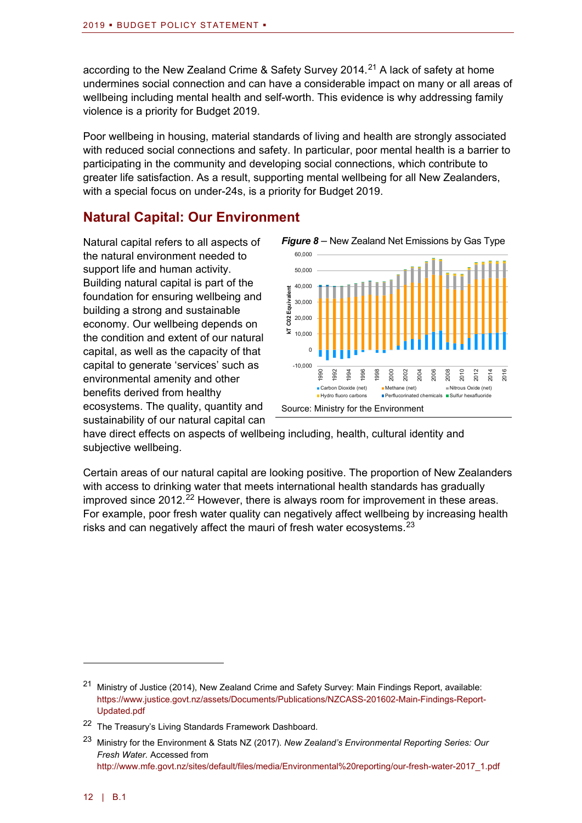according to the New Zealand Crime & Safety Survey 2014.<sup>[21](#page-13-0)</sup> A lack of safety at home undermines social connection and can have a considerable impact on many or all areas of wellbeing including mental health and self-worth. This evidence is why addressing family violence is a priority for Budget 2019.

Poor wellbeing in housing, material standards of living and health are strongly associated with reduced social connections and safety. In particular, poor mental health is a barrier to participating in the community and developing social connections, which contribute to greater life satisfaction. As a result, supporting mental wellbeing for all New Zealanders, with a special focus on under-24s, is a priority for Budget 2019.

### **Natural Capital: Our Environment**

Natural capital refers to all aspects of the natural environment needed to support life and human activity. Building natural capital is part of the foundation for ensuring wellbeing and building a strong and sustainable economy. Our wellbeing depends on the condition and extent of our natural capital, as well as the capacity of that capital to generate 'services' such as environmental amenity and other benefits derived from healthy ecosystems. The quality, quantity and sustainability of our natural capital can



have direct effects on aspects of wellbeing including, health, cultural identity and subjective wellbeing.

Certain areas of our natural capital are looking positive. The proportion of New Zealanders with access to drinking water that meets international health standards has gradually improved since 2012.<sup>[22](#page-13-1)</sup> However, there is always room for improvement in these areas. For example, poor fresh water quality can negatively affect wellbeing by increasing health risks and can negatively affect the mauri of fresh water ecosystems.<sup>[23](#page-13-2)</sup>

<span id="page-13-0"></span><sup>21</sup> Ministry of Justice (2014), New Zealand Crime and Safety Survey: Main Findings Report, available: [https://www.justice.govt.nz/assets/Documents/Publications/NZCASS-201602-Main-Findings-Report-](https://www.justice.govt.nz/assets/Documents/Publications/NZCASS-201602-Main-Findings-Report-Updated.pdf)[Updated.pdf](https://www.justice.govt.nz/assets/Documents/Publications/NZCASS-201602-Main-Findings-Report-Updated.pdf)

<span id="page-13-1"></span><sup>22</sup> The Treasury's Living Standards Framework Dashboard.

<span id="page-13-2"></span><sup>23</sup> Ministry for the Environment & Stats NZ (2017). *New Zealand's Environmental Reporting Series: Our Fresh Water.* Accessed from [http://www.mfe.govt.nz/sites/default/files/media/Environmental%20reporting/our-fresh-water-2017\\_1.pdf](http://www.mfe.govt.nz/sites/default/files/media/Environmental%20reporting/our-fresh-water-2017_1.pdf)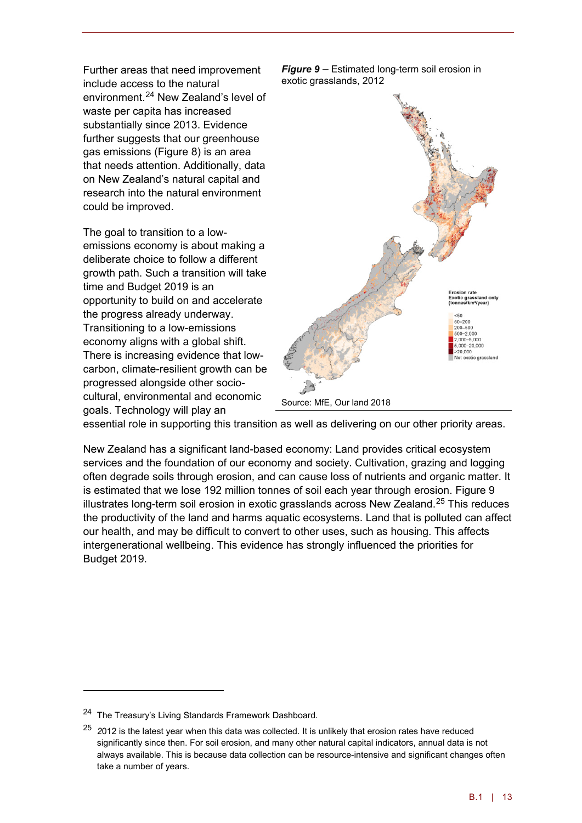Further areas that need improvement include access to the natural environment. [24](#page-14-0) New Zealand's level of waste per capita has increased substantially since 2013. Evidence further suggests that our greenhouse gas emissions (Figure 8) is an area that needs attention. Additionally, data on New Zealand's natural capital and research into the natural environment could be improved.

The goal to transition to a lowemissions economy is about making a deliberate choice to follow a different growth path. Such a transition will take time and Budget 2019 is an opportunity to build on and accelerate the progress already underway. Transitioning to a low-emissions economy aligns with a global shift. There is increasing evidence that lowcarbon, climate-resilient growth can be progressed alongside other sociocultural, environmental and economic goals. Technology will play an





essential role in supporting this transition as well as delivering on our other priority areas.

New Zealand has a significant land-based economy: Land provides critical ecosystem services and the foundation of our economy and society. Cultivation, grazing and logging often degrade soils through erosion, and can cause loss of nutrients and organic matter. It is estimated that we lose 192 million tonnes of soil each year through erosion. Figure 9 illustrates long-term soil erosion in exotic grasslands across New Zealand.<sup>[25](#page-14-1)</sup> This reduces the productivity of the land and harms aquatic ecosystems. Land that is polluted can affect our health, and may be difficult to convert to other uses, such as housing. This affects intergenerational wellbeing. This evidence has strongly influenced the priorities for Budget 2019.

<span id="page-14-0"></span><sup>&</sup>lt;sup>24</sup> The Treasury's Living Standards Framework Dashboard.

<span id="page-14-1"></span><sup>25</sup> *2*012 is the latest year when this data was collected. It is unlikely that erosion rates have reduced significantly since then. For soil erosion, and many other natural capital indicators, annual data is not always available. This is because data collection can be resource-intensive and significant changes often take a number of years.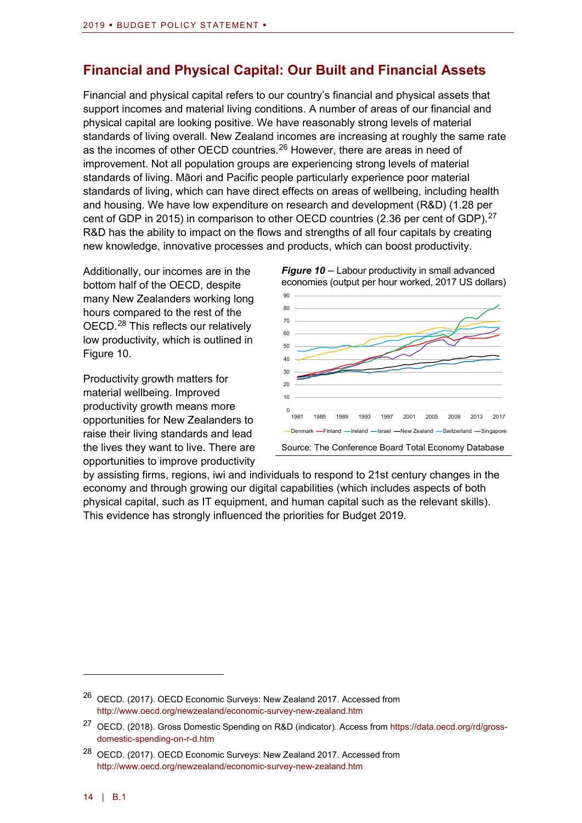### **Financial and Physical Capital: Our Built and Financial Assets**

Financial and physical capital refers to our country's financial and physical assets that support incomes and material living conditions. A number of areas of our financial and physical capital are looking positive. We have reasonably strong levels of material standards of living overall. New Zealand incomes are increasing at roughly the same rate as the incomes of other OECD countries.<sup>[26](#page-15-0)</sup> However, there are areas in need of improvement. Not all population groups are experiencing strong levels of material standards of living. Māori and Pacific people particularly experience poor material standards of living, which can have direct effects on areas of wellbeing, including health and housing. We have low expenditure on research and development (R&D) (1.28 per cent of GDP in 2015) in comparison to other OECD countries (2.36 per cent of GDP).<sup>[27](#page-15-1)</sup> R&D has the ability to impact on the flows and strengths of all four capitals by creating new knowledge, innovative processes and products, which can boost productivity.

Additionally, our incomes are in the bottom half of the OECD, despite many New Zealanders working long hours compared to the rest of the OECD.<sup>[28](#page-15-2)</sup> This reflects our relatively low productivity, which is outlined in Figure 10.

Productivity growth matters for material wellbeing. Improved productivity growth means more opportunities for New Zealanders to raise their living standards and lead the lives they want to live. There are opportunities to improve productivity



*Figure 10* – Labour productivity in small advanced

by assisting firms, regions, iwi and individuals to respond to 21st century changes in the economy and through growing our digital capabilities (which includes aspects of both physical capital, such as IT equipment, and human capital such as the relevant skills). This evidence has strongly influenced the priorities for Budget 2019.

<span id="page-15-0"></span><sup>26</sup> OECD. (2017). OECD Economic Surveys: New Zealand 2017. Accessed from <http://www.oecd.org/newzealand/economic-survey-new-zealand.htm>

<span id="page-15-1"></span><sup>27</sup> OECD. (2018). Gross Domestic Spending on R&D (indicator). Access from [https://data.oecd.org/rd/gross](https://data.oecd.org/rd/gross-domestic-spending-on-r-d.htm)[domestic-spending-on-r-d.htm](https://data.oecd.org/rd/gross-domestic-spending-on-r-d.htm)

<span id="page-15-2"></span><sup>28</sup> OECD. (2017). OECD Economic Surveys: New Zealand 2017. Accessed from <http://www.oecd.org/newzealand/economic-survey-new-zealand.htm>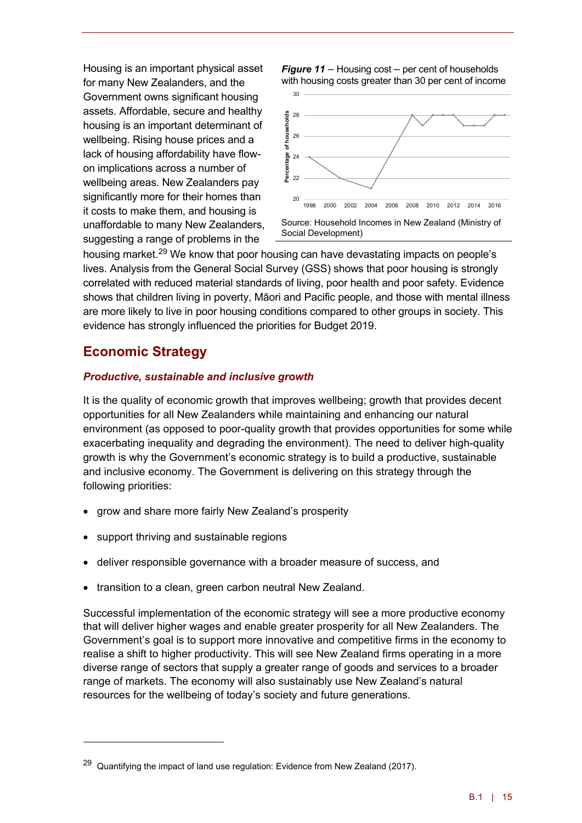Housing is an important physical asset for many New Zealanders, and the Government owns significant housing assets. Affordable, secure and healthy housing is an important determinant of wellbeing. Rising house prices and a lack of housing affordability have flowon implications across a number of wellbeing areas. New Zealanders pay significantly more for their homes than it costs to make them, and housing is unaffordable to many New Zealanders, suggesting a range of problems in the

*Figure 11* – Housing cost – per cent of households with housing costs greater than 30 per cent of income



housing market.<sup>[29](#page-16-0)</sup> We know that poor housing can have devastating impacts on people's lives. Analysis from the General Social Survey (GSS) shows that poor housing is strongly correlated with reduced material standards of living, poor health and poor safety. Evidence shows that children living in poverty, Māori and Pacific people, and those with mental illness are more likely to live in poor housing conditions compared to other groups in society. This evidence has strongly influenced the priorities for Budget 2019.

### **Economic Strategy**

<u>.</u>

### *Productive, sustainable and inclusive growth*

It is the quality of economic growth that improves wellbeing; growth that provides decent opportunities for all New Zealanders while maintaining and enhancing our natural environment (as opposed to poor-quality growth that provides opportunities for some while exacerbating inequality and degrading the environment). The need to deliver high-quality growth is why the Government's economic strategy is to build a productive, sustainable and inclusive economy. The Government is delivering on this strategy through the following priorities:

- grow and share more fairly New Zealand's prosperity
- support thriving and sustainable regions
- deliver responsible governance with a broader measure of success, and
- transition to a clean, green carbon neutral New Zealand.

Successful implementation of the economic strategy will see a more productive economy that will deliver higher wages and enable greater prosperity for all New Zealanders. The Government's goal is to support more innovative and competitive firms in the economy to realise a shift to higher productivity. This will see New Zealand firms operating in a more diverse range of sectors that supply a greater range of goods and services to a broader range of markets. The economy will also sustainably use New Zealand's natural resources for the wellbeing of today's society and future generations.

<span id="page-16-0"></span> $29$  Quantifying the impact of land use regulation: Evidence from New Zealand (2017).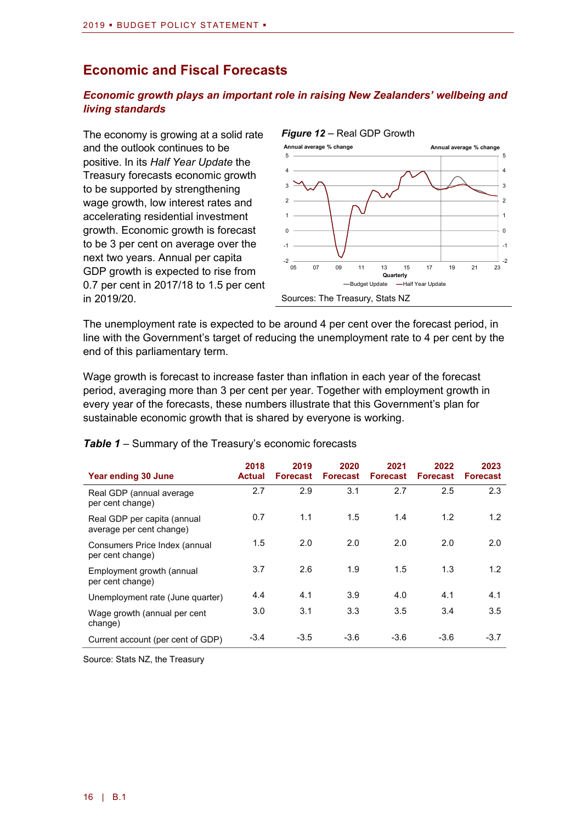### **Economic and Fiscal Forecasts**

### *Economic growth plays an important role in raising New Zealanders' wellbeing and living standards*

The economy is growing at a solid rate and the outlook continues to be positive. In its *Half Year Update* the Treasury forecasts economic growth to be supported by strengthening wage growth, low interest rates and accelerating residential investment growth. Economic growth is forecast to be 3 per cent on average over the next two years. Annual per capita GDP growth is expected to rise from 0.7 per cent in 2017/18 to 1.5 per cent in 2019/20.



The unemployment rate is expected to be around 4 per cent over the forecast period, in line with the Government's target of reducing the unemployment rate to 4 per cent by the end of this parliamentary term.

Wage growth is forecast to increase faster than inflation in each year of the forecast period, averaging more than 3 per cent per year. Together with employment growth in every year of the forecasts, these numbers illustrate that this Government's plan for sustainable economic growth that is shared by everyone is working.

| Year ending 30 June                                     | 2018<br><b>Actual</b> | 2019<br><b>Forecast</b> | 2020<br><b>Forecast</b> | 2021<br><b>Forecast</b> | 2022<br><b>Forecast</b> | 2023<br><b>Forecast</b> |
|---------------------------------------------------------|-----------------------|-------------------------|-------------------------|-------------------------|-------------------------|-------------------------|
| Real GDP (annual average<br>per cent change)            | 2.7                   | 2.9                     | 3.1                     | 2.7                     | 2.5                     | 2.3                     |
| Real GDP per capita (annual<br>average per cent change) | 0.7                   | 1.1                     | 1.5                     | 1.4                     | 1.2                     | 1.2                     |
| Consumers Price Index (annual<br>per cent change)       | 1.5                   | 2.0                     | 2.0                     | 2.0                     | 2.0                     | 2.0                     |
| Employment growth (annual<br>per cent change)           | 3.7                   | 2.6                     | 1.9                     | 1.5                     | 1.3                     | 1.2                     |
| Unemployment rate (June quarter)                        | 4.4                   | 4.1                     | 3.9                     | 4.0                     | 4.1                     | 4.1                     |
| Wage growth (annual per cent<br>change)                 | 3.0                   | 3.1                     | 3.3                     | 3.5                     | 3.4                     | 3.5                     |
| Current account (per cent of GDP)                       | $-3.4$                | $-3.5$                  | $-3.6$                  | $-3.6$                  | $-3.6$                  | $-3.7$                  |

### **Table 1** – Summary of the Treasury's economic forecasts

Source: Stats NZ, the Treasury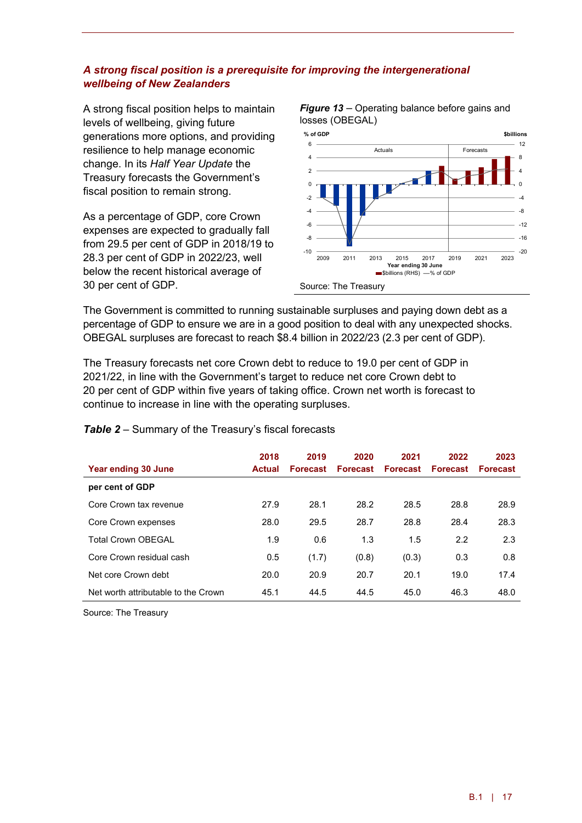### *A strong fiscal position is a prerequisite for improving the intergenerational wellbeing of New Zealanders*

A strong fiscal position helps to maintain levels of wellbeing, giving future generations more options, and providing resilience to help manage economic change. In its *Half Year Update* the Treasury forecasts the Government's fiscal position to remain strong.

As a percentage of GDP, core Crown expenses are expected to gradually fall from 29.5 per cent of GDP in 2018/19 to 28.3 per cent of GDP in 2022/23, well below the recent historical average of 30 per cent of GDP.



The Government is committed to running sustainable surpluses and paying down debt as a percentage of GDP to ensure we are in a good position to deal with any unexpected shocks. OBEGAL surpluses are forecast to reach \$8.4 billion in 2022/23 (2.3 per cent of GDP).

The Treasury forecasts net core Crown debt to reduce to 19.0 per cent of GDP in 2021/22, in line with the Government's target to reduce net core Crown debt to 20 per cent of GDP within five years of taking office. Crown net worth is forecast to continue to increase in line with the operating surpluses.

| Year ending 30 June                 | 2018<br><b>Actual</b> | 2019<br><b>Forecast</b> | 2020<br><b>Forecast</b> | 2021<br><b>Forecast</b> | 2022<br><b>Forecast</b> | 2023<br><b>Forecast</b> |
|-------------------------------------|-----------------------|-------------------------|-------------------------|-------------------------|-------------------------|-------------------------|
| per cent of GDP                     |                       |                         |                         |                         |                         |                         |
| Core Crown tax revenue              | 27.9                  | 28.1                    | 28.2                    | 28.5                    | 28.8                    | 28.9                    |
| Core Crown expenses                 | 28.0                  | 29.5                    | 28.7                    | 28.8                    | 28.4                    | 28.3                    |
| <b>Total Crown OBFGAL</b>           | 1.9                   | 0.6                     | 1.3                     | 1.5                     | 2.2                     | 2.3                     |
| Core Crown residual cash            | 0.5                   | (1.7)                   | (0.8)                   | (0.3)                   | 0.3                     | 0.8                     |
| Net core Crown debt                 | 20.0                  | 20.9                    | 20.7                    | 20.1                    | 19.0                    | 17.4                    |
| Net worth attributable to the Crown | 45.1                  | 44.5                    | 44.5                    | 45.0                    | 46.3                    | 48.0                    |

### *Table 2* – Summary of the Treasury's fiscal forecasts

Source: The Treasury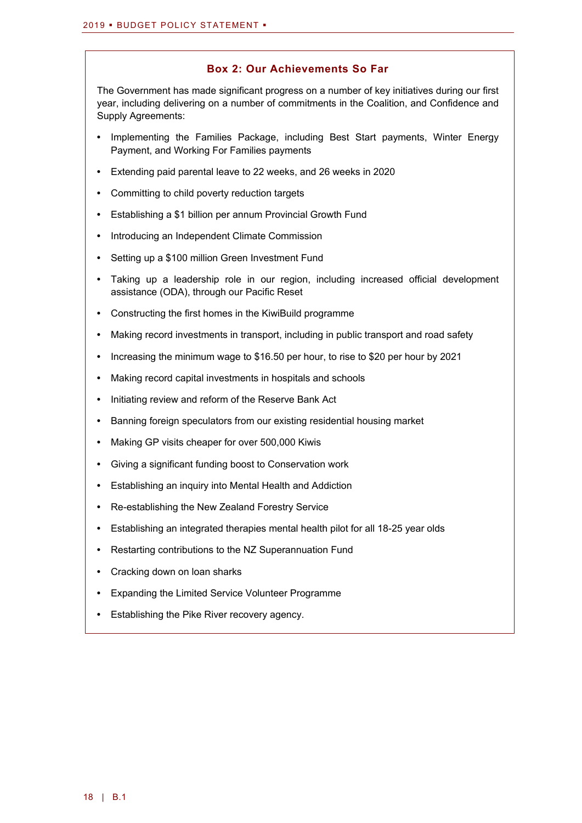### **Box 2: Our Achievements So Far**

The Government has made significant progress on a number of key initiatives during our first year, including delivering on a number of commitments in the Coalition, and Confidence and Supply Agreements:

- **•** Implementing the Families Package, including Best Start payments, Winter Energy Payment, and Working For Families payments
- **•** Extending paid parental leave to 22 weeks, and 26 weeks in 2020
- **•** Committing to child poverty reduction targets
- **•** Establishing a \$1 billion per annum Provincial Growth Fund
- **•** Introducing an Independent Climate Commission
- **•** Setting up a \$100 million Green Investment Fund
- **•** Taking up a leadership role in our region, including increased official development assistance (ODA), through our Pacific Reset
- **•** Constructing the first homes in the KiwiBuild programme
- **•** Making record investments in transport, including in public transport and road safety
- **•** Increasing the minimum wage to \$16.50 per hour, to rise to \$20 per hour by 2021
- **•** Making record capital investments in hospitals and schools
- **•** Initiating review and reform of the Reserve Bank Act
- **•** Banning foreign speculators from our existing residential housing market
- **•** Making GP visits cheaper for over 500,000 Kiwis
- **•** Giving a significant funding boost to Conservation work
- **•** Establishing an inquiry into Mental Health and Addiction
- **•** Re-establishing the New Zealand Forestry Service
- **•** Establishing an integrated therapies mental health pilot for all 18-25 year olds
- **•** Restarting contributions to the NZ Superannuation Fund
- **•** Cracking down on loan sharks
- **•** Expanding the Limited Service Volunteer Programme
- **•** Establishing the Pike River recovery agency.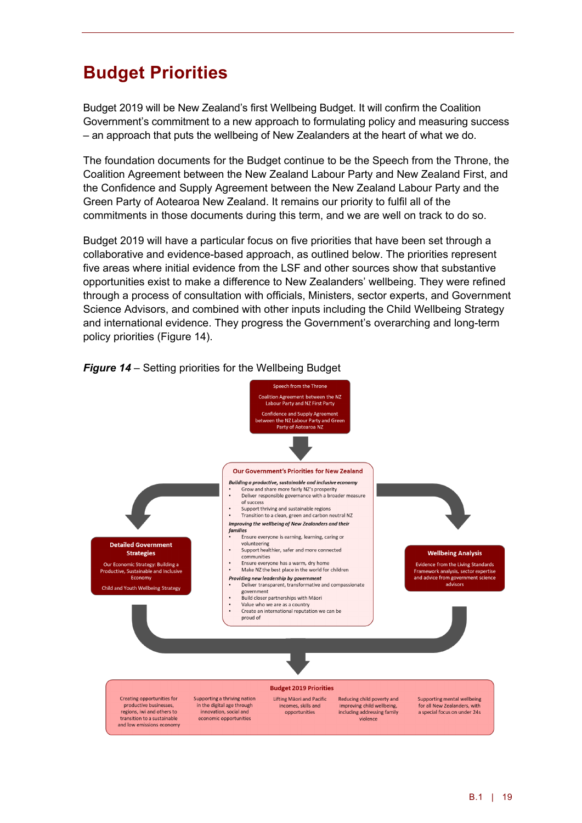# **Budget Priorities**

Budget 2019 will be New Zealand's first Wellbeing Budget. It will confirm the Coalition Government's commitment to a new approach to formulating policy and measuring success – an approach that puts the wellbeing of New Zealanders at the heart of what we do.

The foundation documents for the Budget continue to be the Speech from the Throne, the Coalition Agreement between the New Zealand Labour Party and New Zealand First, and the Confidence and Supply Agreement between the New Zealand Labour Party and the Green Party of Aotearoa New Zealand. It remains our priority to fulfil all of the commitments in those documents during this term, and we are well on track to do so.

Budget 2019 will have a particular focus on five priorities that have been set through a collaborative and evidence-based approach, as outlined below. The priorities represent five areas where initial evidence from the LSF and other sources show that substantive opportunities exist to make a difference to New Zealanders' wellbeing. They were refined through a process of consultation with officials, Ministers, sector experts, and Government Science Advisors, and combined with other inputs including the Child Wellbeing Strategy and international evidence. They progress the Government's overarching and long-term policy priorities (Figure 14).



### *Figure 14* – Setting priorities for the Wellbeing Budget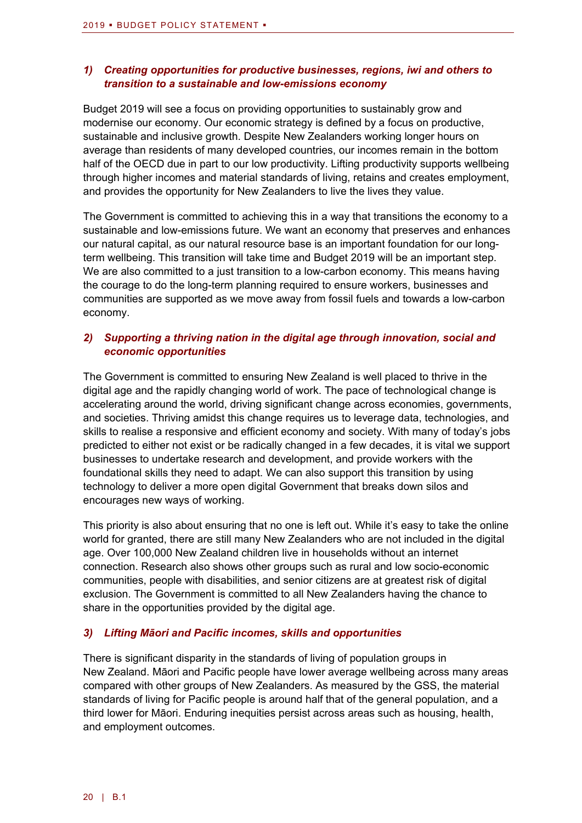### *1) Creating opportunities for productive businesses, regions, iwi and others to transition to a sustainable and low-emissions economy*

Budget 2019 will see a focus on providing opportunities to sustainably grow and modernise our economy. Our economic strategy is defined by a focus on productive, sustainable and inclusive growth. Despite New Zealanders working longer hours on average than residents of many developed countries, our incomes remain in the bottom half of the OECD due in part to our low productivity. Lifting productivity supports wellbeing through higher incomes and material standards of living, retains and creates employment, and provides the opportunity for New Zealanders to live the lives they value.

The Government is committed to achieving this in a way that transitions the economy to a sustainable and low-emissions future. We want an economy that preserves and enhances our natural capital, as our natural resource base is an important foundation for our longterm wellbeing. This transition will take time and Budget 2019 will be an important step. We are also committed to a just transition to a low-carbon economy. This means having the courage to do the long-term planning required to ensure workers, businesses and communities are supported as we move away from fossil fuels and towards a low-carbon economy.

### *2) Supporting a thriving nation in the digital age through innovation, social and economic opportunities*

The Government is committed to ensuring New Zealand is well placed to thrive in the digital age and the rapidly changing world of work. The pace of technological change is accelerating around the world, driving significant change across economies, governments, and societies. Thriving amidst this change requires us to leverage data, technologies, and skills to realise a responsive and efficient economy and society. With many of today's jobs predicted to either not exist or be radically changed in a few decades, it is vital we support businesses to undertake research and development, and provide workers with the foundational skills they need to adapt. We can also support this transition by using technology to deliver a more open digital Government that breaks down silos and encourages new ways of working.

This priority is also about ensuring that no one is left out. While it's easy to take the online world for granted, there are still many New Zealanders who are not included in the digital age. Over 100,000 New Zealand children live in households without an internet connection. Research also shows other groups such as rural and low socio-economic communities, people with disabilities, and senior citizens are at greatest risk of digital exclusion. The Government is committed to all New Zealanders having the chance to share in the opportunities provided by the digital age.

### *3) Lifting Māori and Pacific incomes, skills and opportunities*

There is significant disparity in the standards of living of population groups in New Zealand. Māori and Pacific people have lower average wellbeing across many areas compared with other groups of New Zealanders. As measured by the GSS, the material standards of living for Pacific people is around half that of the general population, and a third lower for Māori. Enduring inequities persist across areas such as housing, health, and employment outcomes.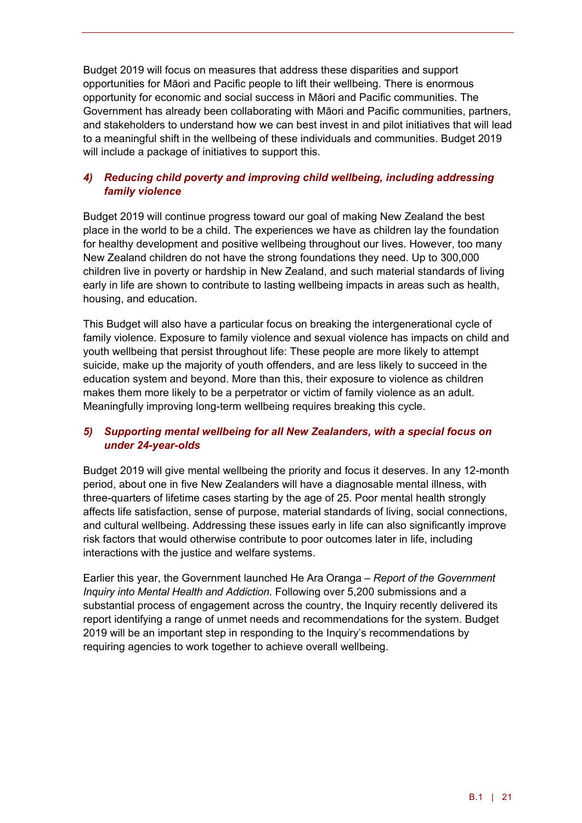Budget 2019 will focus on measures that address these disparities and support opportunities for Māori and Pacific people to lift their wellbeing. There is enormous opportunity for economic and social success in Māori and Pacific communities. The Government has already been collaborating with Māori and Pacific communities, partners, and stakeholders to understand how we can best invest in and pilot initiatives that will lead to a meaningful shift in the wellbeing of these individuals and communities. Budget 2019 will include a package of initiatives to support this.

### *4) Reducing child poverty and improving child wellbeing, including addressing family violence*

Budget 2019 will continue progress toward our goal of making New Zealand the best place in the world to be a child. The experiences we have as children lay the foundation for healthy development and positive wellbeing throughout our lives. However, too many New Zealand children do not have the strong foundations they need. Up to 300,000 children live in poverty or hardship in New Zealand, and such material standards of living early in life are shown to contribute to lasting wellbeing impacts in areas such as health, housing, and education.

This Budget will also have a particular focus on breaking the intergenerational cycle of family violence. Exposure to family violence and sexual violence has impacts on child and youth wellbeing that persist throughout life: These people are more likely to attempt suicide, make up the majority of youth offenders, and are less likely to succeed in the education system and beyond. More than this, their exposure to violence as children makes them more likely to be a perpetrator or victim of family violence as an adult. Meaningfully improving long-term wellbeing requires breaking this cycle.

### *5) Supporting mental wellbeing for all New Zealanders, with a special focus on under 24-year-olds*

Budget 2019 will give mental wellbeing the priority and focus it deserves. In any 12-month period, about one in five New Zealanders will have a diagnosable mental illness, with three-quarters of lifetime cases starting by the age of 25. Poor mental health strongly affects life satisfaction, sense of purpose, material standards of living, social connections, and cultural wellbeing. Addressing these issues early in life can also significantly improve risk factors that would otherwise contribute to poor outcomes later in life, including interactions with the justice and welfare systems.

Earlier this year, the Government launched He Ara Oranga – *Report of the Government Inquiry into Mental Health and Addiction*. Following over 5,200 submissions and a substantial process of engagement across the country, the Inquiry recently delivered its report identifying a range of unmet needs and recommendations for the system. Budget 2019 will be an important step in responding to the Inquiry's recommendations by requiring agencies to work together to achieve overall wellbeing.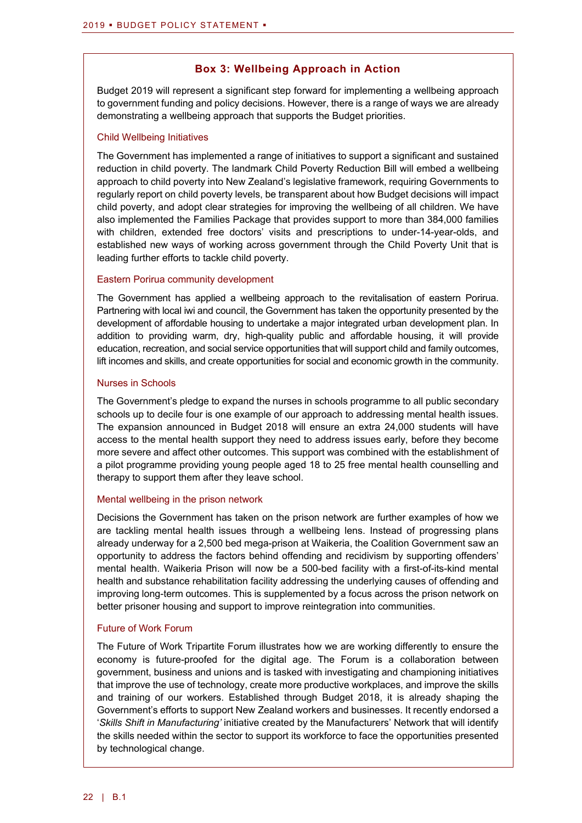### **Box 3: Wellbeing Approach in Action**

Budget 2019 will represent a significant step forward for implementing a wellbeing approach to government funding and policy decisions. However, there is a range of ways we are already demonstrating a wellbeing approach that supports the Budget priorities.

#### Child Wellbeing Initiatives

The Government has implemented a range of initiatives to support a significant and sustained reduction in child poverty. The landmark Child Poverty Reduction Bill will embed a wellbeing approach to child poverty into New Zealand's legislative framework, requiring Governments to regularly report on child poverty levels, be transparent about how Budget decisions will impact child poverty, and adopt clear strategies for improving the wellbeing of all children. We have also implemented the Families Package that provides support to more than 384,000 families with children, extended free doctors' visits and prescriptions to under-14-year-olds, and established new ways of working across government through the Child Poverty Unit that is leading further efforts to tackle child poverty.

### Eastern Porirua community development

The Government has applied a wellbeing approach to the revitalisation of eastern Porirua. Partnering with local iwi and council, the Government has taken the opportunity presented by the development of affordable housing to undertake a major integrated urban development plan. In addition to providing warm, dry, high-quality public and affordable housing, it will provide education, recreation, and social service opportunities that will support child and family outcomes, lift incomes and skills, and create opportunities for social and economic growth in the community.

### Nurses in Schools

The Government's pledge to expand the nurses in schools programme to all public secondary schools up to decile four is one example of our approach to addressing mental health issues. The expansion announced in Budget 2018 will ensure an extra 24,000 students will have access to the mental health support they need to address issues early, before they become more severe and affect other outcomes. This support was combined with the establishment of a pilot programme providing young people aged 18 to 25 free mental health counselling and therapy to support them after they leave school.

#### Mental wellbeing in the prison network

Decisions the Government has taken on the prison network are further examples of how we are tackling mental health issues through a wellbeing lens. Instead of progressing plans already underway for a 2,500 bed mega-prison at Waikeria, the Coalition Government saw an opportunity to address the factors behind offending and recidivism by supporting offenders' mental health. Waikeria Prison will now be a 500-bed facility with a first-of-its-kind mental health and substance rehabilitation facility addressing the underlying causes of offending and improving long-term outcomes. This is supplemented by a focus across the prison network on better prisoner housing and support to improve reintegration into communities.

### Future of Work Forum

The Future of Work Tripartite Forum illustrates how we are working differently to ensure the economy is future-proofed for the digital age. The Forum is a collaboration between government, business and unions and is tasked with investigating and championing initiatives that improve the use of technology, create more productive workplaces, and improve the skills and training of our workers. Established through Budget 2018, it is already shaping the Government's efforts to support New Zealand workers and businesses. It recently endorsed a '*Skills Shift in Manufacturing'* initiative created by the Manufacturers' Network that will identify the skills needed within the sector to support its workforce to face the opportunities presented by technological change.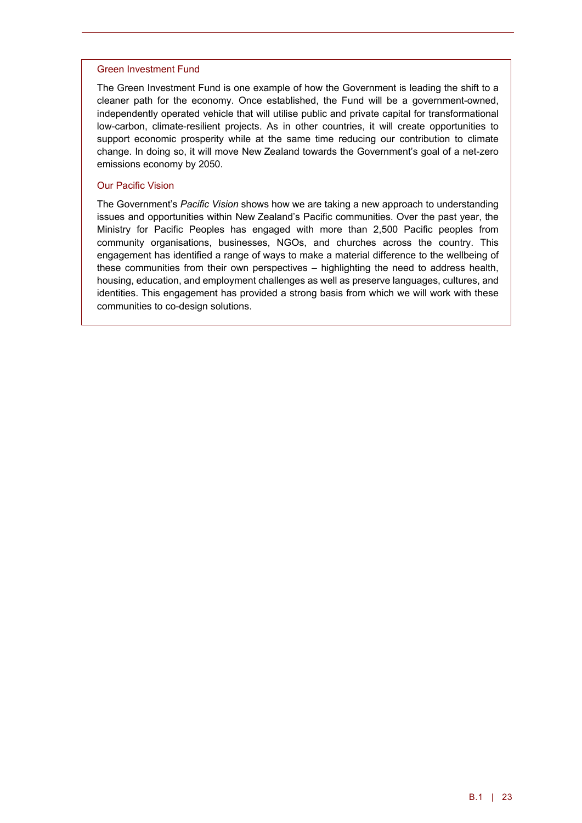#### Green Investment Fund

The Green Investment Fund is one example of how the Government is leading the shift to a cleaner path for the economy. Once established, the Fund will be a government-owned, independently operated vehicle that will utilise public and private capital for transformational low-carbon, climate-resilient projects. As in other countries, it will create opportunities to support economic prosperity while at the same time reducing our contribution to climate change. In doing so, it will move New Zealand towards the Government's goal of a net-zero emissions economy by 2050.

#### Our Pacific Vision

The Government's *Pacific Vision* shows how we are taking a new approach to understanding issues and opportunities within New Zealand's Pacific communities. Over the past year, the Ministry for Pacific Peoples has engaged with more than 2,500 Pacific peoples from community organisations, businesses, NGOs, and churches across the country. This engagement has identified a range of ways to make a material difference to the wellbeing of these communities from their own perspectives – highlighting the need to address health, housing, education, and employment challenges as well as preserve languages, cultures, and identities. This engagement has provided a strong basis from which we will work with these communities to co-design solutions.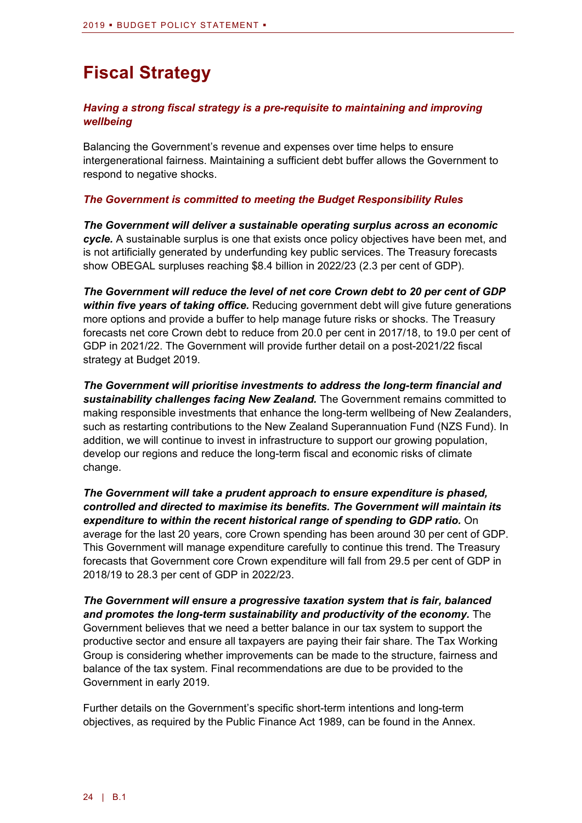# **Fiscal Strategy**

### *Having a strong fiscal strategy is a pre-requisite to maintaining and improving wellbeing*

Balancing the Government's revenue and expenses over time helps to ensure intergenerational fairness. Maintaining a sufficient debt buffer allows the Government to respond to negative shocks.

### *The Government is committed to meeting the Budget Responsibility Rules*

*The Government will deliver a sustainable operating surplus across an economic cycle.* A sustainable surplus is one that exists once policy objectives have been met, and is not artificially generated by underfunding key public services. The Treasury forecasts show OBEGAL surpluses reaching \$8.4 billion in 2022/23 (2.3 per cent of GDP).

*The Government will reduce the level of net core Crown debt to 20 per cent of GDP within five years of taking office.* Reducing government debt will give future generations more options and provide a buffer to help manage future risks or shocks. The Treasury forecasts net core Crown debt to reduce from 20.0 per cent in 2017/18, to 19.0 per cent of GDP in 2021/22. The Government will provide further detail on a post-2021/22 fiscal strategy at Budget 2019.

*The Government will prioritise investments to address the long-term financial and sustainability challenges facing New Zealand.* The Government remains committed to making responsible investments that enhance the long-term wellbeing of New Zealanders, such as restarting contributions to the New Zealand Superannuation Fund (NZS Fund). In addition, we will continue to invest in infrastructure to support our growing population, develop our regions and reduce the long-term fiscal and economic risks of climate change.

*The Government will take a prudent approach to ensure expenditure is phased, controlled and directed to maximise its benefits. The Government will maintain its expenditure to within the recent historical range of spending to GDP ratio.* On average for the last 20 years, core Crown spending has been around 30 per cent of GDP. This Government will manage expenditure carefully to continue this trend. The Treasury forecasts that Government core Crown expenditure will fall from 29.5 per cent of GDP in 2018/19 to 28.3 per cent of GDP in 2022/23.

*The Government will ensure a progressive taxation system that is fair, balanced and promotes the long-term sustainability and productivity of the economy.* The Government believes that we need a better balance in our tax system to support the productive sector and ensure all taxpayers are paying their fair share. The Tax Working Group is considering whether improvements can be made to the structure, fairness and balance of the tax system. Final recommendations are due to be provided to the Government in early 2019.

Further details on the Government's specific short-term intentions and long-term objectives, as required by the Public Finance Act 1989, can be found in the Annex.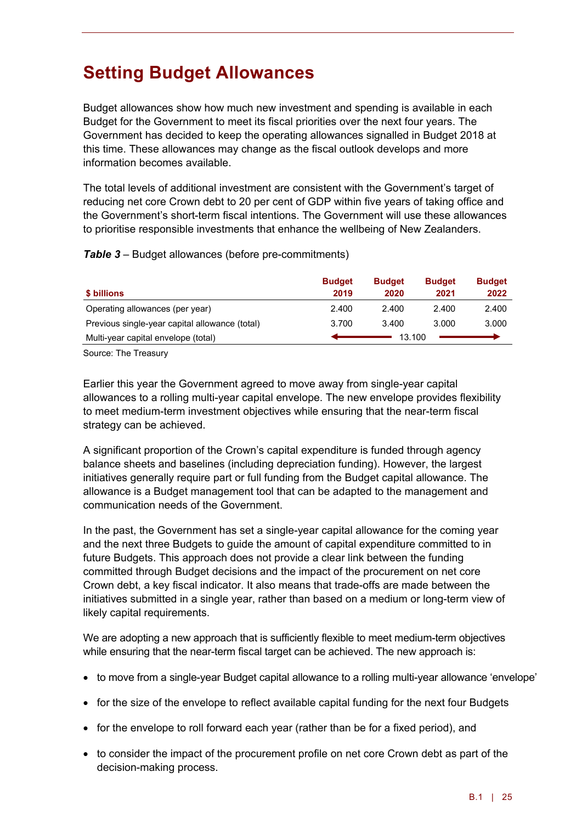# **Setting Budget Allowances**

Budget allowances show how much new investment and spending is available in each Budget for the Government to meet its fiscal priorities over the next four years. The Government has decided to keep the operating allowances signalled in Budget 2018 at this time. These allowances may change as the fiscal outlook develops and more information becomes available.

The total levels of additional investment are consistent with the Government's target of reducing net core Crown debt to 20 per cent of GDP within five years of taking office and the Government's short-term fiscal intentions. The Government will use these allowances to prioritise responsible investments that enhance the wellbeing of New Zealanders.

*Table 3* – Budget allowances (before pre-commitments)

|                                                | <b>Budget</b> | <b>Budget</b> | <b>Budget</b> | <b>Budget</b> |
|------------------------------------------------|---------------|---------------|---------------|---------------|
| \$ billions                                    | 2019          | 2020          | 2021          | 2022          |
| Operating allowances (per year)                | 2.400         | 2.400         | 2.400         | 2.400         |
| Previous single-year capital allowance (total) | 3.700         | 3.400         | 3.000         | 3.000         |
| Multi-year capital envelope (total)            |               | 13.100        |               |               |

Source: The Treasury

Earlier this year the Government agreed to move away from single-year capital allowances to a rolling multi-year capital envelope. The new envelope provides flexibility to meet medium-term investment objectives while ensuring that the near-term fiscal strategy can be achieved.

A significant proportion of the Crown's capital expenditure is funded through agency balance sheets and baselines (including depreciation funding). However, the largest initiatives generally require part or full funding from the Budget capital allowance. The allowance is a Budget management tool that can be adapted to the management and communication needs of the Government.

In the past, the Government has set a single-year capital allowance for the coming year and the next three Budgets to guide the amount of capital expenditure committed to in future Budgets. This approach does not provide a clear link between the funding committed through Budget decisions and the impact of the procurement on net core Crown debt, a key fiscal indicator. It also means that trade-offs are made between the initiatives submitted in a single year, rather than based on a medium or long-term view of likely capital requirements.

We are adopting a new approach that is sufficiently flexible to meet medium-term objectives while ensuring that the near-term fiscal target can be achieved. The new approach is:

- to move from a single-year Budget capital allowance to a rolling multi-year allowance 'envelope'
- for the size of the envelope to reflect available capital funding for the next four Budgets
- for the envelope to roll forward each year (rather than be for a fixed period), and
- to consider the impact of the procurement profile on net core Crown debt as part of the decision-making process.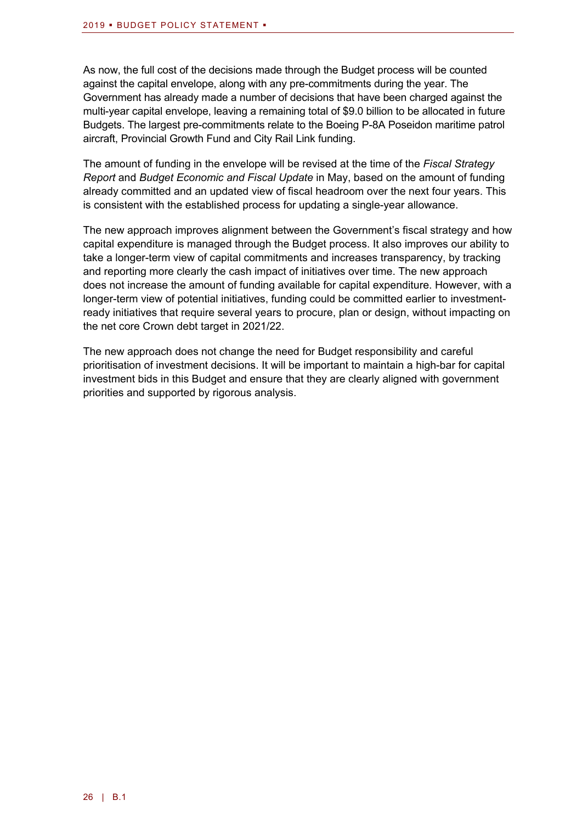As now, the full cost of the decisions made through the Budget process will be counted against the capital envelope, along with any pre-commitments during the year. The Government has already made a number of decisions that have been charged against the multi-year capital envelope, leaving a remaining total of \$9.0 billion to be allocated in future Budgets. The largest pre-commitments relate to the Boeing P-8A Poseidon maritime patrol aircraft, Provincial Growth Fund and City Rail Link funding.

The amount of funding in the envelope will be revised at the time of the *Fiscal Strategy Report* and *Budget Economic and Fiscal Update* in May, based on the amount of funding already committed and an updated view of fiscal headroom over the next four years. This is consistent with the established process for updating a single-year allowance.

The new approach improves alignment between the Government's fiscal strategy and how capital expenditure is managed through the Budget process. It also improves our ability to take a longer-term view of capital commitments and increases transparency, by tracking and reporting more clearly the cash impact of initiatives over time. The new approach does not increase the amount of funding available for capital expenditure. However, with a longer-term view of potential initiatives, funding could be committed earlier to investmentready initiatives that require several years to procure, plan or design, without impacting on the net core Crown debt target in 2021/22.

The new approach does not change the need for Budget responsibility and careful prioritisation of investment decisions. It will be important to maintain a high-bar for capital investment bids in this Budget and ensure that they are clearly aligned with government priorities and supported by rigorous analysis.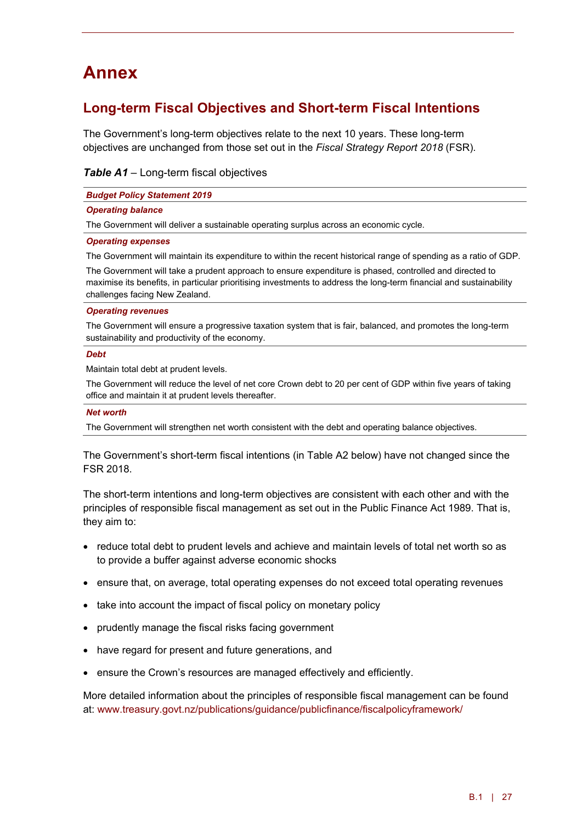# **Annex**

### **Long-term Fiscal Objectives and Short-term Fiscal Intentions**

The Government's long-term objectives relate to the next 10 years. These long-term objectives are unchanged from those set out in the *Fiscal Strategy Report 2018* (FSR).

*Table A1* – Long-term fiscal objectives

| <b>Budget Policy Statement 2019</b>                                                                               |
|-------------------------------------------------------------------------------------------------------------------|
| <b>Operating balance</b>                                                                                          |
| The Government will deliver a sustainable operating surplus across an economic cycle.                             |
| <b>Operating expenses</b>                                                                                         |
| The Government will maintain its expenditure to within the recent historical range of spending as a ratio of GDP. |
| The Government will take a prudent approach to ensure expenditure is phased, controlled and directed to           |

maximise its benefits, in particular prioritising investments to address the long-term financial and sustainability challenges facing New Zealand.

#### *Operating revenues*

The Government will ensure a progressive taxation system that is fair, balanced, and promotes the long-term sustainability and productivity of the economy.

#### *Debt*

Maintain total debt at prudent levels.

The Government will reduce the level of net core Crown debt to 20 per cent of GDP within five years of taking office and maintain it at prudent levels thereafter.

#### *Net worth*

The Government will strengthen net worth consistent with the debt and operating balance objectives.

The Government's short-term fiscal intentions (in Table A2 below) have not changed since the FSR 2018.

The short-term intentions and long-term objectives are consistent with each other and with the principles of responsible fiscal management as set out in the Public Finance Act 1989. That is, they aim to:

- reduce total debt to prudent levels and achieve and maintain levels of total net worth so as to provide a buffer against adverse economic shocks
- ensure that, on average, total operating expenses do not exceed total operating revenues
- take into account the impact of fiscal policy on monetary policy
- prudently manage the fiscal risks facing government
- have regard for present and future generations, and
- ensure the Crown's resources are managed effectively and efficiently.

More detailed information about the principles of responsible fiscal management can be found at: [www.treasury.govt.nz/publications/guidance/publicfinance/fiscalpolicyframework/](http://www.treasury.govt.nz/publications/guidance/publicfinance/fiscalpolicyframework/)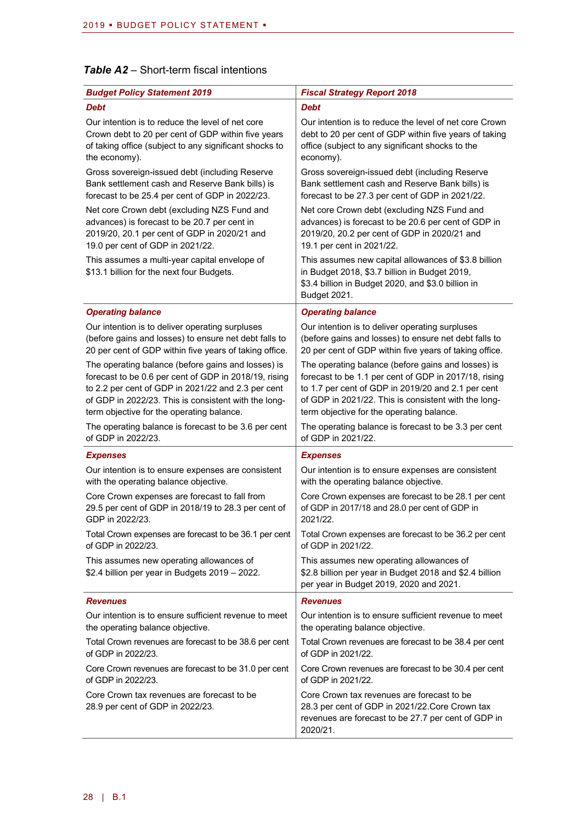### *Table A2* – Short-term fiscal intentions

| <b>Budget Policy Statement 2019</b>                                                        | <b>Fiscal Strategy Report 2018</b>                                                                                                                                          |
|--------------------------------------------------------------------------------------------|-----------------------------------------------------------------------------------------------------------------------------------------------------------------------------|
| <b>Debt</b>                                                                                | <b>Debt</b>                                                                                                                                                                 |
| Our intention is to reduce the level of net core                                           | Our intention is to reduce the level of net core Crown                                                                                                                      |
| Crown debt to 20 per cent of GDP within five years                                         | debt to 20 per cent of GDP within five years of taking                                                                                                                      |
| of taking office (subject to any significant shocks to                                     | office (subject to any significant shocks to the                                                                                                                            |
| the economy).                                                                              | economy).                                                                                                                                                                   |
| Gross sovereign-issued debt (including Reserve                                             | Gross sovereign-issued debt (including Reserve                                                                                                                              |
| Bank settlement cash and Reserve Bank bills) is                                            | Bank settlement cash and Reserve Bank bills) is                                                                                                                             |
| forecast to be 25.4 per cent of GDP in 2022/23.                                            | forecast to be 27.3 per cent of GDP in 2021/22.                                                                                                                             |
| Net core Crown debt (excluding NZS Fund and                                                | Net core Crown debt (excluding NZS Fund and                                                                                                                                 |
| advances) is forecast to be 20.7 per cent in                                               | advances) is forecast to be 20.6 per cent of GDP in                                                                                                                         |
| 2019/20, 20.1 per cent of GDP in 2020/21 and                                               | 2019/20, 20.2 per cent of GDP in 2020/21 and                                                                                                                                |
| 19.0 per cent of GDP in 2021/22.                                                           | 19.1 per cent in 2021/22.                                                                                                                                                   |
| This assumes a multi-year capital envelope of<br>\$13.1 billion for the next four Budgets. | This assumes new capital allowances of \$3.8 billion<br>in Budget 2018, \$3.7 billion in Budget 2019,<br>\$3.4 billion in Budget 2020, and \$3.0 billion in<br>Budget 2021. |
| <b>Operating balance</b>                                                                   | <b>Operating balance</b>                                                                                                                                                    |
| Our intention is to deliver operating surpluses                                            | Our intention is to deliver operating surpluses                                                                                                                             |
| (before gains and losses) to ensure net debt falls to                                      | (before gains and losses) to ensure net debt falls to                                                                                                                       |
| 20 per cent of GDP within five years of taking office.                                     | 20 per cent of GDP within five years of taking office.                                                                                                                      |
| The operating balance (before gains and losses) is                                         | The operating balance (before gains and losses) is                                                                                                                          |
| forecast to be 0.6 per cent of GDP in 2018/19, rising                                      | forecast to be 1.1 per cent of GDP in 2017/18, rising                                                                                                                       |
| to 2.2 per cent of GDP in 2021/22 and 2.3 per cent                                         | to 1.7 per cent of GDP in 2019/20 and 2.1 per cent                                                                                                                          |
| of GDP in 2022/23. This is consistent with the long-                                       | of GDP in 2021/22. This is consistent with the long-                                                                                                                        |
| term objective for the operating balance.                                                  | term objective for the operating balance.                                                                                                                                   |
| The operating balance is forecast to be 3.6 per cent                                       | The operating balance is forecast to be 3.3 per cent                                                                                                                        |
| of GDP in 2022/23.                                                                         | of GDP in 2021/22.                                                                                                                                                          |
| <b>Expenses</b>                                                                            | <b>Expenses</b>                                                                                                                                                             |
| Our intention is to ensure expenses are consistent                                         | Our intention is to ensure expenses are consistent                                                                                                                          |
| with the operating balance objective.                                                      | with the operating balance objective.                                                                                                                                       |
| Core Crown expenses are forecast to fall from                                              | Core Crown expenses are forecast to be 28.1 per cent                                                                                                                        |
| 29.5 per cent of GDP in 2018/19 to 28.3 per cent of                                        | of GDP in 2017/18 and 28.0 per cent of GDP in                                                                                                                               |
| GDP in 2022/23.                                                                            | 2021/22.                                                                                                                                                                    |
| Total Crown expenses are forecast to be 36.1 per cent                                      | Total Crown expenses are forecast to be 36.2 per cent                                                                                                                       |
| of GDP in 2022/23.                                                                         | of GDP in 2021/22.                                                                                                                                                          |
| This assumes new operating allowances of<br>\$2.4 billion per year in Budgets 2019 - 2022. | This assumes new operating allowances of<br>\$2.8 billion per year in Budget 2018 and \$2.4 billion<br>per year in Budget 2019, 2020 and 2021.                              |
| <b>Revenues</b>                                                                            | <b>Revenues</b>                                                                                                                                                             |
| Our intention is to ensure sufficient revenue to meet                                      | Our intention is to ensure sufficient revenue to meet                                                                                                                       |
| the operating balance objective.                                                           | the operating balance objective.                                                                                                                                            |
| Total Crown revenues are forecast to be 38.6 per cent                                      | Total Crown revenues are forecast to be 38.4 per cent                                                                                                                       |
| of GDP in 2022/23.                                                                         | of GDP in 2021/22.                                                                                                                                                          |
| Core Crown revenues are forecast to be 31.0 per cent                                       | Core Crown revenues are forecast to be 30.4 per cent                                                                                                                        |
| of GDP in 2022/23.                                                                         | of GDP in 2021/22.                                                                                                                                                          |
| Core Crown tax revenues are forecast to be<br>28.9 per cent of GDP in 2022/23.             | Core Crown tax revenues are forecast to be<br>28.3 per cent of GDP in 2021/22.Core Crown tax<br>revenues are forecast to be 27.7 per cent of GDP in<br>2020/21.             |